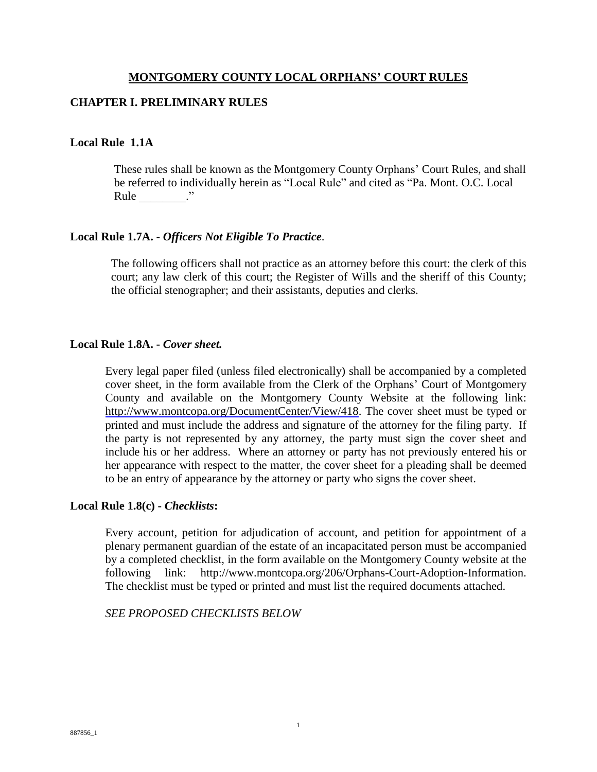#### **MONTGOMERY COUNTY LOCAL ORPHANS' COURT RULES**

#### **CHAPTER I. PRELIMINARY RULES**

#### **Local Rule 1.1A**

 These rules shall be known as the Montgomery County Orphans' Court Rules, and shall be referred to individually herein as "Local Rule" and cited as "Pa. Mont. O.C. Local Rule ."

#### **Local Rule 1.7A. -** *Officers Not Eligible To Practice*.

The following officers shall not practice as an attorney before this court: the clerk of this court; any law clerk of this court; the Register of Wills and the sheriff of this County; the official stenographer; and their assistants, deputies and clerks.

#### **Local Rule 1.8A. -** *Cover sheet.*

Every legal paper filed (unless filed electronically) shall be accompanied by a completed cover sheet, in the form available from the Clerk of the Orphans' Court of Montgomery County and available on the Montgomery County Website at the following link: http://www.montcopa.org/DocumentCenter/View/418. The cover sheet must be typed or printed and must include the address and signature of the attorney for the filing party. If the party is not represented by any attorney, the party must sign the cover sheet and include his or her address. Where an attorney or party has not previously entered his or her appearance with respect to the matter, the cover sheet for a pleading shall be deemed to be an entry of appearance by the attorney or party who signs the cover sheet.

# **Local Rule 1.8(c) -** *Checklists***:**

Every account, petition for adjudication of account, and petition for appointment of a plenary permanent guardian of the estate of an incapacitated person must be accompanied by a completed checklist, in the form available on the Montgomery County website at the following link: http://www.montcopa.org/206/Orphans-Court-Adoption-Information. The checklist must be typed or printed and must list the required documents attached.

*SEE PROPOSED CHECKLISTS BELOW*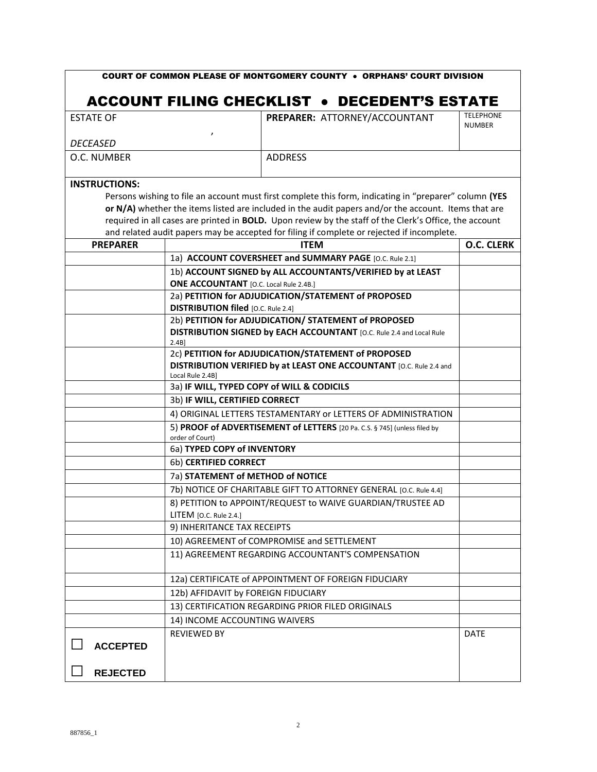| <b>ESTATE OF</b>     | PREPARER: ATTORNEY/ACCOUNTANT                                                                                                | <b>TELEPHONE</b><br><b>NUMBER</b> |
|----------------------|------------------------------------------------------------------------------------------------------------------------------|-----------------------------------|
| <b>DECEASED</b>      |                                                                                                                              |                                   |
| O.C. NUMBER          | <b>ADDRESS</b>                                                                                                               |                                   |
| <b>INSTRUCTIONS:</b> |                                                                                                                              |                                   |
|                      | Persons wishing to file an account must first complete this form, indicating in "preparer" column (YES                       |                                   |
|                      | or N/A) whether the items listed are included in the audit papers and/or the account. Items that are                         |                                   |
|                      | required in all cases are printed in BOLD. Upon review by the staff of the Clerk's Office, the account                       |                                   |
|                      | and related audit papers may be accepted for filing if complete or rejected if incomplete.                                   |                                   |
| <b>PREPARER</b>      | <b>ITEM</b>                                                                                                                  | <b>O.C. CLERK</b>                 |
|                      | 1a) ACCOUNT COVERSHEET and SUMMARY PAGE [O.C. Rule 2.1]                                                                      |                                   |
|                      | 1b) ACCOUNT SIGNED by ALL ACCOUNTANTS/VERIFIED by at LEAST                                                                   |                                   |
|                      | <b>ONE ACCOUNTANT</b> [O.C. Local Rule 2.4B.]                                                                                |                                   |
|                      | 2a) PETITION for ADJUDICATION/STATEMENT of PROPOSED                                                                          |                                   |
|                      | <b>DISTRIBUTION filed</b> [O.C. Rule 2.4]                                                                                    |                                   |
|                      | 2b) PETITION for ADJUDICATION/ STATEMENT of PROPOSED<br>DISTRIBUTION SIGNED by EACH ACCOUNTANT [O.C. Rule 2.4 and Local Rule |                                   |
|                      | 2.4B                                                                                                                         |                                   |
|                      | 2c) PETITION for ADJUDICATION/STATEMENT of PROPOSED                                                                          |                                   |
|                      | DISTRIBUTION VERIFIED by at LEAST ONE ACCOUNTANT [O.C. Rule 2.4 and<br>Local Rule 2.4B]                                      |                                   |
|                      | 3a) IF WILL, TYPED COPY of WILL & CODICILS                                                                                   |                                   |
|                      | 3b) IF WILL, CERTIFIED CORRECT                                                                                               |                                   |
|                      | 4) ORIGINAL LETTERS TESTAMENTARY or LETTERS OF ADMINISTRATION                                                                |                                   |
|                      | 5) PROOF of ADVERTISEMENT of LETTERS [20 Pa. C.S. § 745] (unless filed by<br>order of Court)                                 |                                   |
|                      | 6a) TYPED COPY of INVENTORY                                                                                                  |                                   |
|                      | 6b) CERTIFIED CORRECT                                                                                                        |                                   |
|                      | 7a) STATEMENT of METHOD of NOTICE                                                                                            |                                   |
|                      | 7b) NOTICE OF CHARITABLE GIFT TO ATTORNEY GENERAL [O.C. Rule 4.4]                                                            |                                   |
|                      | 8) PETITION to APPOINT/REQUEST to WAIVE GUARDIAN/TRUSTEE AD                                                                  |                                   |
|                      | $L$ TEM [O.C. Rule 2.4.]                                                                                                     |                                   |
|                      | 9) INHERITANCE TAX RECEIPTS                                                                                                  |                                   |
|                      | 10) AGREEMENT of COMPROMISE and SETTLEMENT                                                                                   |                                   |
|                      | 11) AGREEMENT REGARDING ACCOUNTANT'S COMPENSATION                                                                            |                                   |
|                      |                                                                                                                              |                                   |
|                      | 12a) CERTIFICATE of APPOINTMENT OF FOREIGN FIDUCIARY                                                                         |                                   |
|                      | 12b) AFFIDAVIT by FOREIGN FIDUCIARY                                                                                          |                                   |
|                      | 13) CERTIFICATION REGARDING PRIOR FILED ORIGINALS                                                                            |                                   |
|                      | 14) INCOME ACCOUNTING WAIVERS                                                                                                |                                   |
|                      | <b>REVIEWED BY</b>                                                                                                           | <b>DATE</b>                       |
| <b>ACCEPTED</b>      |                                                                                                                              |                                   |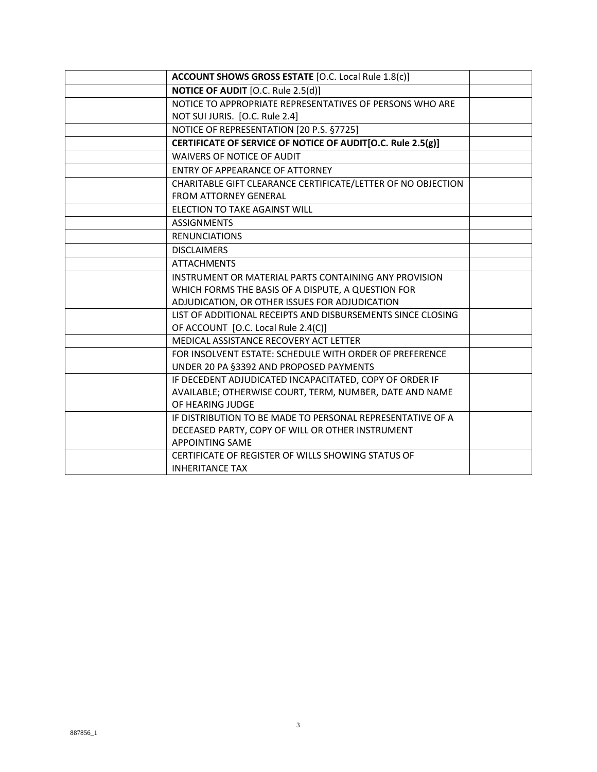| ACCOUNT SHOWS GROSS ESTATE [O.C. Local Rule 1.8(c)]          |  |
|--------------------------------------------------------------|--|
| NOTICE OF AUDIT [O.C. Rule 2.5(d)]                           |  |
| NOTICE TO APPROPRIATE REPRESENTATIVES OF PERSONS WHO ARE     |  |
| NOT SUI JURIS. [O.C. Rule 2.4]                               |  |
| NOTICE OF REPRESENTATION [20 P.S. §7725]                     |  |
| CERTIFICATE OF SERVICE OF NOTICE OF AUDIT[O.C. Rule 2.5(g)]  |  |
| WAIVERS OF NOTICE OF AUDIT                                   |  |
| <b>FNTRY OF APPFARANCE OF ATTORNEY</b>                       |  |
| CHARITABLE GIFT CLEARANCE CERTIFICATE/LETTER OF NO OBJECTION |  |
| <b>FROM ATTORNEY GENERAL</b>                                 |  |
| ELECTION TO TAKE AGAINST WILL                                |  |
| <b>ASSIGNMENTS</b>                                           |  |
| <b>RENUNCIATIONS</b>                                         |  |
| <b>DISCLAIMERS</b>                                           |  |
| <b>ATTACHMENTS</b>                                           |  |
| INSTRUMENT OR MATERIAL PARTS CONTAINING ANY PROVISION        |  |
| WHICH FORMS THE BASIS OF A DISPUTE, A QUESTION FOR           |  |
| ADJUDICATION, OR OTHER ISSUES FOR ADJUDICATION               |  |
| LIST OF ADDITIONAL RECEIPTS AND DISBURSEMENTS SINCE CLOSING  |  |
| OF ACCOUNT [O.C. Local Rule 2.4(C)]                          |  |
| MEDICAL ASSISTANCE RECOVERY ACT LETTER                       |  |
| FOR INSOLVENT ESTATE: SCHEDULE WITH ORDER OF PREFERENCE      |  |
| UNDER 20 PA §3392 AND PROPOSED PAYMENTS                      |  |
| IF DECEDENT ADJUDICATED INCAPACITATED, COPY OF ORDER IF      |  |
| AVAILABLE; OTHERWISE COURT, TERM, NUMBER, DATE AND NAME      |  |
| OF HEARING JUDGE                                             |  |
| IF DISTRIBUTION TO BE MADE TO PERSONAL REPRESENTATIVE OF A   |  |
| DECEASED PARTY, COPY OF WILL OR OTHER INSTRUMENT             |  |
| <b>APPOINTING SAME</b>                                       |  |
| CERTIFICATE OF REGISTER OF WILLS SHOWING STATUS OF           |  |
| <b>INHERITANCE TAX</b>                                       |  |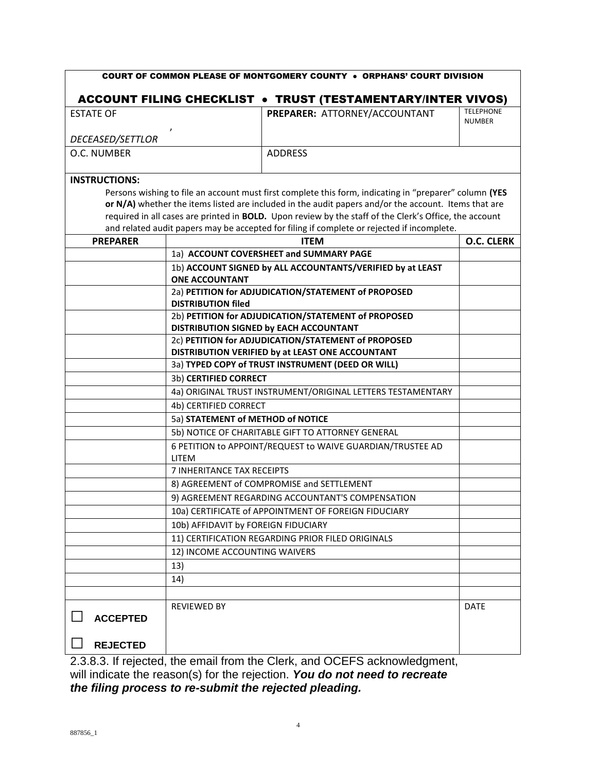| <b>COURT OF COMMON PLEASE OF MONTGOMERY COUNTY . ORPHANS' COURT DIVISION</b> |                                                            |                                                                                                        |                                   |
|------------------------------------------------------------------------------|------------------------------------------------------------|--------------------------------------------------------------------------------------------------------|-----------------------------------|
|                                                                              |                                                            | <b>ACCOUNT FILING CHECKLIST . TRUST (TESTAMENTARY/INTER VIVOS)</b>                                     |                                   |
| <b>ESTATE OF</b>                                                             |                                                            | PREPARER: ATTORNEY/ACCOUNTANT                                                                          | <b>TELEPHONE</b><br><b>NUMBER</b> |
| DECEASED/SETTLOR                                                             |                                                            |                                                                                                        |                                   |
| O.C. NUMBER                                                                  |                                                            | <b>ADDRESS</b>                                                                                         |                                   |
| <b>INSTRUCTIONS:</b>                                                         |                                                            |                                                                                                        |                                   |
|                                                                              |                                                            | Persons wishing to file an account must first complete this form, indicating in "preparer" column (YES |                                   |
|                                                                              |                                                            | or N/A) whether the items listed are included in the audit papers and/or the account. Items that are   |                                   |
|                                                                              |                                                            | required in all cases are printed in BOLD. Upon review by the staff of the Clerk's Office, the account |                                   |
|                                                                              |                                                            | and related audit papers may be accepted for filing if complete or rejected if incomplete.             |                                   |
| <b>PREPARER</b>                                                              |                                                            | <b>ITEM</b>                                                                                            | O.C. CLERK                        |
|                                                                              |                                                            | 1a) ACCOUNT COVERSHEET and SUMMARY PAGE                                                                |                                   |
|                                                                              | <b>ONE ACCOUNTANT</b>                                      | 1b) ACCOUNT SIGNED by ALL ACCOUNTANTS/VERIFIED by at LEAST                                             |                                   |
|                                                                              |                                                            | 2a) PETITION for ADJUDICATION/STATEMENT of PROPOSED                                                    |                                   |
|                                                                              | <b>DISTRIBUTION filed</b>                                  |                                                                                                        |                                   |
|                                                                              |                                                            | 2b) PETITION for ADJUDICATION/STATEMENT of PROPOSED<br>DISTRIBUTION SIGNED by EACH ACCOUNTANT          |                                   |
|                                                                              |                                                            | 2c) PETITION for ADJUDICATION/STATEMENT of PROPOSED                                                    |                                   |
|                                                                              |                                                            | DISTRIBUTION VERIFIED by at LEAST ONE ACCOUNTANT                                                       |                                   |
|                                                                              |                                                            | 3a) TYPED COPY of TRUST INSTRUMENT (DEED OR WILL)                                                      |                                   |
|                                                                              | 3b) CERTIFIED CORRECT                                      |                                                                                                        |                                   |
|                                                                              |                                                            | 4a) ORIGINAL TRUST INSTRUMENT/ORIGINAL LETTERS TESTAMENTARY                                            |                                   |
|                                                                              | 4b) CERTIFIED CORRECT                                      |                                                                                                        |                                   |
|                                                                              | 5a) STATEMENT of METHOD of NOTICE                          |                                                                                                        |                                   |
|                                                                              | 5b) NOTICE OF CHARITABLE GIFT TO ATTORNEY GENERAL          |                                                                                                        |                                   |
|                                                                              | 6 PETITION to APPOINT/REQUEST to WAIVE GUARDIAN/TRUSTEE AD |                                                                                                        |                                   |
|                                                                              | <b>LITEM</b>                                               |                                                                                                        |                                   |
|                                                                              | 7 INHERITANCE TAX RECEIPTS                                 |                                                                                                        |                                   |
|                                                                              |                                                            | 8) AGREEMENT of COMPROMISE and SETTLEMENT                                                              |                                   |
|                                                                              |                                                            | 9) AGREEMENT REGARDING ACCOUNTANT'S COMPENSATION                                                       |                                   |
|                                                                              |                                                            | 10a) CERTIFICATE of APPOINTMENT OF FOREIGN FIDUCIARY                                                   |                                   |
|                                                                              | 10b) AFFIDAVIT by FOREIGN FIDUCIARY                        |                                                                                                        |                                   |
|                                                                              |                                                            | 11) CERTIFICATION REGARDING PRIOR FILED ORIGINALS                                                      |                                   |
|                                                                              | 12) INCOME ACCOUNTING WAIVERS                              |                                                                                                        |                                   |
|                                                                              | 13)                                                        |                                                                                                        |                                   |
|                                                                              | 14)                                                        |                                                                                                        |                                   |
|                                                                              |                                                            |                                                                                                        |                                   |
|                                                                              | <b>REVIEWED BY</b>                                         |                                                                                                        | <b>DATE</b>                       |
| <b>ACCEPTED</b>                                                              |                                                            |                                                                                                        |                                   |
|                                                                              |                                                            |                                                                                                        |                                   |
| <b>REJECTED</b>                                                              |                                                            |                                                                                                        |                                   |

2.3.8.3. If rejected, the email from the Clerk, and OCEFS acknowledgment, will indicate the reason(s) for the rejection. *You do not need to recreate the filing process to re-submit the rejected pleading.*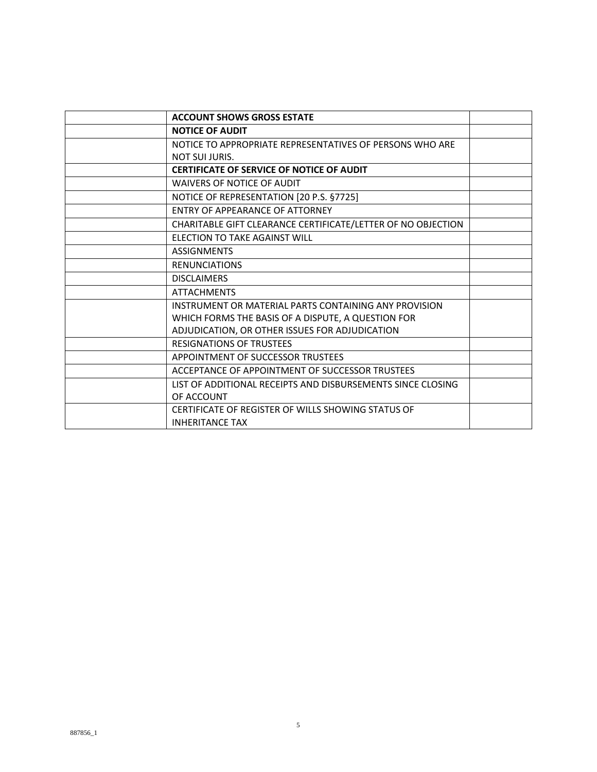| <b>ACCOUNT SHOWS GROSS ESTATE</b>                            |  |
|--------------------------------------------------------------|--|
| <b>NOTICE OF AUDIT</b>                                       |  |
| NOTICE TO APPROPRIATE REPRESENTATIVES OF PERSONS WHO ARE     |  |
| <b>NOT SUI JURIS.</b>                                        |  |
| <b>CERTIFICATE OF SERVICE OF NOTICE OF AUDIT</b>             |  |
| <b>WAIVERS OF NOTICE OF AUDIT</b>                            |  |
| NOTICE OF REPRESENTATION [20 P.S. §7725]                     |  |
| ENTRY OF APPEARANCE OF ATTORNEY                              |  |
| CHARITABLE GIFT CLEARANCE CERTIFICATE/LETTER OF NO OBJECTION |  |
| ELECTION TO TAKE AGAINST WILL                                |  |
| <b>ASSIGNMENTS</b>                                           |  |
| <b>RENUNCIATIONS</b>                                         |  |
| <b>DISCLAIMERS</b>                                           |  |
| <b>ATTACHMENTS</b>                                           |  |
| INSTRUMENT OR MATERIAL PARTS CONTAINING ANY PROVISION        |  |
| WHICH FORMS THE BASIS OF A DISPUTE, A QUESTION FOR           |  |
| ADJUDICATION, OR OTHER ISSUES FOR ADJUDICATION               |  |
| <b>RESIGNATIONS OF TRUSTEES</b>                              |  |
| APPOINTMENT OF SUCCESSOR TRUSTEES                            |  |
| ACCEPTANCE OF APPOINTMENT OF SUCCESSOR TRUSTEES              |  |
| LIST OF ADDITIONAL RECEIPTS AND DISBURSEMENTS SINCE CLOSING  |  |
| OF ACCOUNT                                                   |  |
| CERTIFICATE OF REGISTER OF WILLS SHOWING STATUS OF           |  |
| <b>INHERITANCE TAX</b>                                       |  |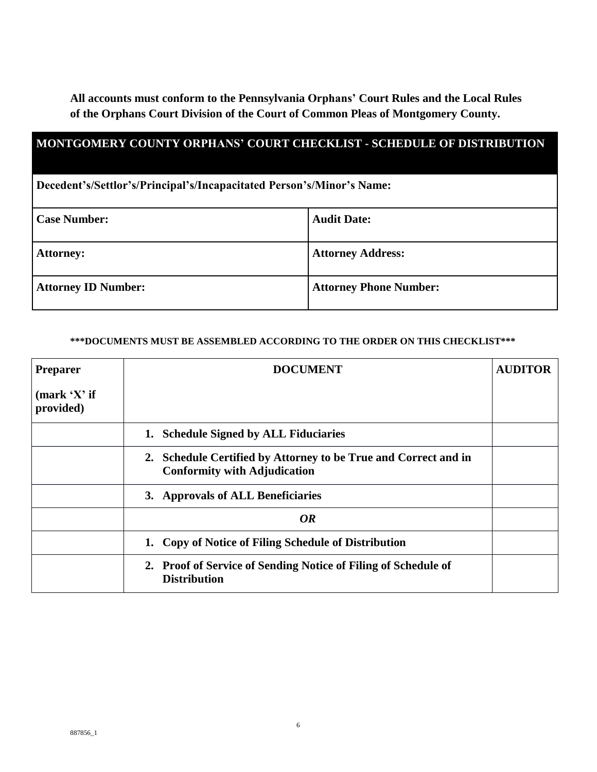**All accounts must conform to the Pennsylvania Orphans' Court Rules and the Local Rules of the Orphans Court Division of the Court of Common Pleas of Montgomery County.** 

| <b>MONTGOMERY COUNTY ORPHANS' COURT CHECKLIST - SCHEDULE OF DISTRIBUTION</b> |                               |  |  |
|------------------------------------------------------------------------------|-------------------------------|--|--|
| Decedent's/Settlor's/Principal's/Incapacitated Person's/Minor's Name:        |                               |  |  |
| <b>Case Number:</b>                                                          | <b>Audit Date:</b>            |  |  |
| <b>Attorney:</b>                                                             | <b>Attorney Address:</b>      |  |  |
| <b>Attorney ID Number:</b>                                                   | <b>Attorney Phone Number:</b> |  |  |

#### **\*\*\*DOCUMENTS MUST BE ASSEMBLED ACCORDING TO THE ORDER ON THIS CHECKLIST\*\*\***

| <b>Preparer</b>           | <b>DOCUMENT</b>                                                                                        | <b>AUDITOR</b> |
|---------------------------|--------------------------------------------------------------------------------------------------------|----------------|
| (mark 'X' if<br>provided) |                                                                                                        |                |
|                           | <b>Schedule Signed by ALL Fiduciaries</b><br>1.                                                        |                |
|                           | 2. Schedule Certified by Attorney to be True and Correct and in<br><b>Conformity with Adjudication</b> |                |
|                           | 3. Approvals of ALL Beneficiaries                                                                      |                |
|                           | <b>OR</b>                                                                                              |                |
|                           | 1. Copy of Notice of Filing Schedule of Distribution                                                   |                |
|                           | Proof of Service of Sending Notice of Filing of Schedule of<br>2.<br><b>Distribution</b>               |                |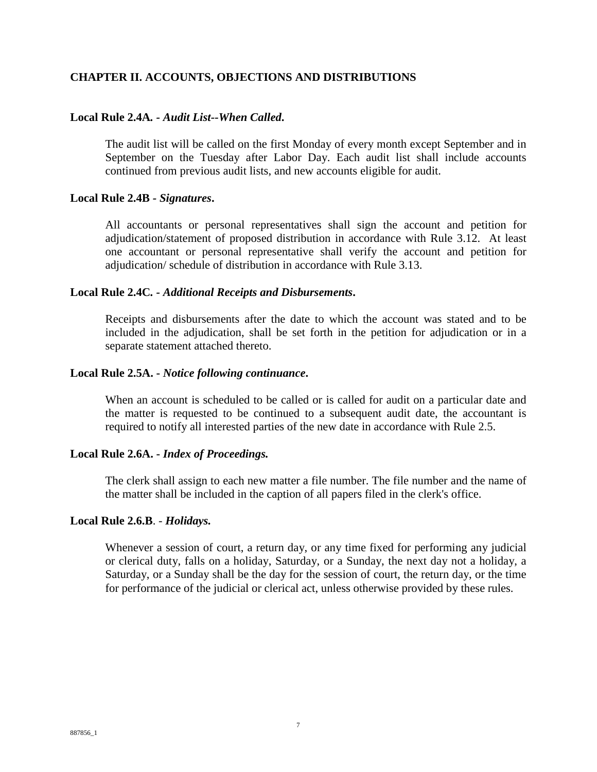## **CHAPTER II. ACCOUNTS, OBJECTIONS AND DISTRIBUTIONS**

#### **Local Rule 2.4A***. - Audit List--When Called***.**

The audit list will be called on the first Monday of every month except September and in September on the Tuesday after Labor Day. Each audit list shall include accounts continued from previous audit lists, and new accounts eligible for audit.

#### **Local Rule 2.4B** *- Signatures***.**

All accountants or personal representatives shall sign the account and petition for adjudication/statement of proposed distribution in accordance with Rule 3.12. At least one accountant or personal representative shall verify the account and petition for adjudication/ schedule of distribution in accordance with Rule 3.13.

#### **Local Rule 2.4C***. - Additional Receipts and Disbursements***.**

Receipts and disbursements after the date to which the account was stated and to be included in the adjudication, shall be set forth in the petition for adjudication or in a separate statement attached thereto.

#### **Local Rule 2.5A. -** *Notice following continuance***.**

When an account is scheduled to be called or is called for audit on a particular date and the matter is requested to be continued to a subsequent audit date, the accountant is required to notify all interested parties of the new date in accordance with Rule 2.5.

#### **Local Rule 2.6A. -** *Index of Proceedings.*

The clerk shall assign to each new matter a file number. The file number and the name of the matter shall be included in the caption of all papers filed in the clerk's office.

#### **Local Rule 2.6.B**. - *Holidays.*

Whenever a session of court, a return day, or any time fixed for performing any judicial or clerical duty, falls on a holiday, Saturday, or a Sunday, the next day not a holiday, a Saturday, or a Sunday shall be the day for the session of court, the return day, or the time for performance of the judicial or clerical act, unless otherwise provided by these rules.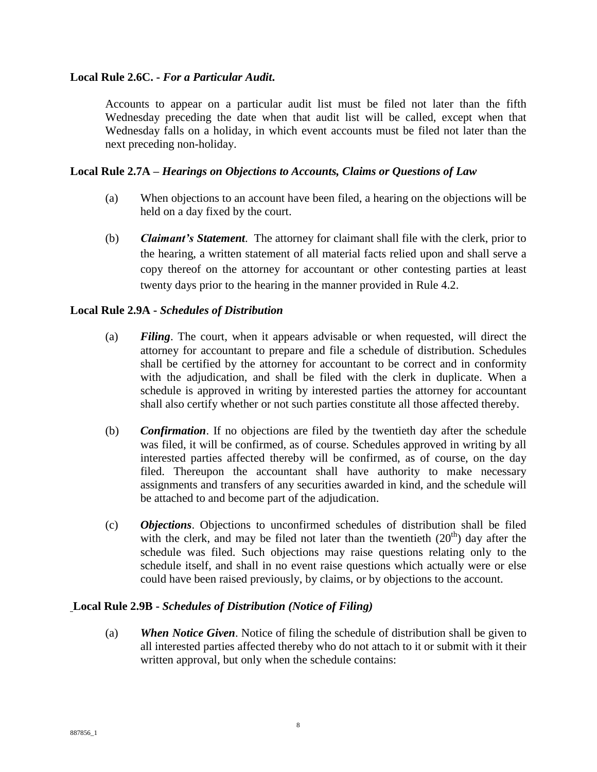## **Local Rule 2.6C. -** *For a Particular Audit***.**

Accounts to appear on a particular audit list must be filed not later than the fifth Wednesday preceding the date when that audit list will be called, except when that Wednesday falls on a holiday, in which event accounts must be filed not later than the next preceding non-holiday.

# **Local Rule 2.7A –** *Hearings on Objections to Accounts, Claims or Questions of Law*

- (a) When objections to an account have been filed, a hearing on the objections will be held on a day fixed by the court.
- (b) *Claimant's Statement*. The attorney for claimant shall file with the clerk, prior to the hearing, a written statement of all material facts relied upon and shall serve a copy thereof on the attorney for accountant or other contesting parties at least twenty days prior to the hearing in the manner provided in Rule 4.2.

### **Local Rule 2.9A -** *Schedules of Distribution*

- (a) *Filing*. The court, when it appears advisable or when requested, will direct the attorney for accountant to prepare and file a schedule of distribution. Schedules shall be certified by the attorney for accountant to be correct and in conformity with the adjudication, and shall be filed with the clerk in duplicate. When a schedule is approved in writing by interested parties the attorney for accountant shall also certify whether or not such parties constitute all those affected thereby.
- (b) *Confirmation*. If no objections are filed by the twentieth day after the schedule was filed, it will be confirmed, as of course. Schedules approved in writing by all interested parties affected thereby will be confirmed, as of course, on the day filed. Thereupon the accountant shall have authority to make necessary assignments and transfers of any securities awarded in kind, and the schedule will be attached to and become part of the adjudication.
- (c) *Objections*. Objections to unconfirmed schedules of distribution shall be filed with the clerk, and may be filed not later than the twentieth  $(20<sup>th</sup>)$  day after the schedule was filed. Such objections may raise questions relating only to the schedule itself, and shall in no event raise questions which actually were or else could have been raised previously, by claims, or by objections to the account.

### **Local Rule 2.9B -** *Schedules of Distribution (Notice of Filing)*

(a) *When Notice Given*. Notice of filing the schedule of distribution shall be given to all interested parties affected thereby who do not attach to it or submit with it their written approval, but only when the schedule contains: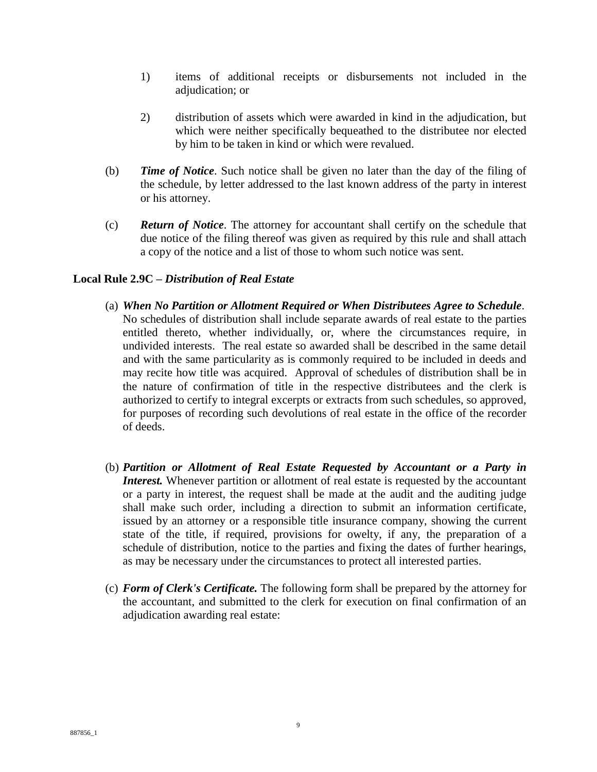- 1) items of additional receipts or disbursements not included in the adjudication; or
- 2) distribution of assets which were awarded in kind in the adjudication, but which were neither specifically bequeathed to the distributee nor elected by him to be taken in kind or which were revalued.
- (b) *Time of Notice*. Such notice shall be given no later than the day of the filing of the schedule, by letter addressed to the last known address of the party in interest or his attorney.
- (c) *Return of Notice*. The attorney for accountant shall certify on the schedule that due notice of the filing thereof was given as required by this rule and shall attach a copy of the notice and a list of those to whom such notice was sent.

### **Local Rule 2.9C –** *Distribution of Real Estate*

- (a) *When No Partition or Allotment Required or When Distributees Agree to Schedule*. No schedules of distribution shall include separate awards of real estate to the parties entitled thereto, whether individually, or, where the circumstances require, in undivided interests. The real estate so awarded shall be described in the same detail and with the same particularity as is commonly required to be included in deeds and may recite how title was acquired. Approval of schedules of distribution shall be in the nature of confirmation of title in the respective distributees and the clerk is authorized to certify to integral excerpts or extracts from such schedules, so approved, for purposes of recording such devolutions of real estate in the office of the recorder of deeds.
- (b) *Partition or Allotment of Real Estate Requested by Accountant or a Party in Interest.* Whenever partition or allotment of real estate is requested by the accountant or a party in interest, the request shall be made at the audit and the auditing judge shall make such order, including a direction to submit an information certificate, issued by an attorney or a responsible title insurance company, showing the current state of the title, if required, provisions for owelty, if any, the preparation of a schedule of distribution, notice to the parties and fixing the dates of further hearings, as may be necessary under the circumstances to protect all interested parties.
- (c) *Form of Clerk's Certificate.* The following form shall be prepared by the attorney for the accountant, and submitted to the clerk for execution on final confirmation of an adjudication awarding real estate: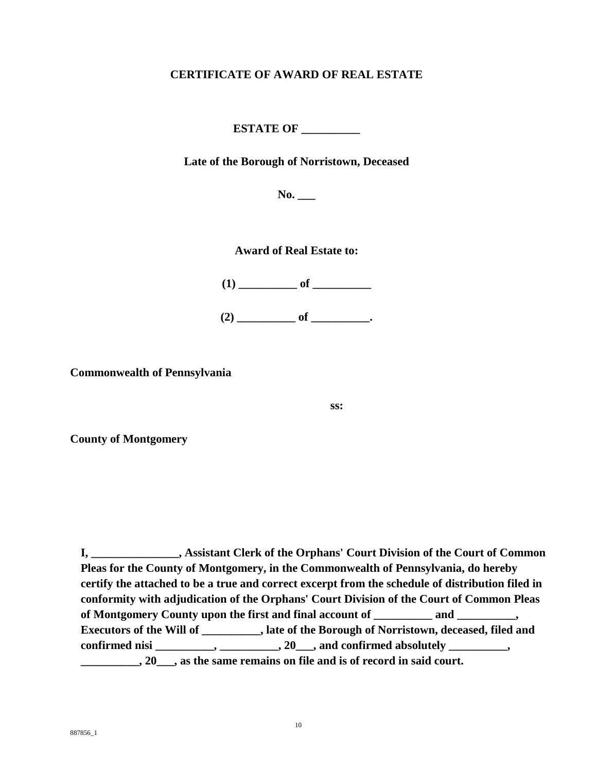# **CERTIFICATE OF AWARD OF REAL ESTATE**

**ESTATE OF \_\_\_\_\_\_\_\_\_\_**

**Late of the Borough of Norristown, Deceased**

**No. \_\_\_**

**Award of Real Estate to:**

**(1) \_\_\_\_\_\_\_\_\_\_ of \_\_\_\_\_\_\_\_\_\_ (2) \_\_\_\_\_\_\_\_\_\_ of \_\_\_\_\_\_\_\_\_\_.**

**Commonwealth of Pennsylvania**

**ss:**

**County of Montgomery**

**I, \_\_\_\_\_\_\_\_\_\_\_\_\_\_\_, Assistant Clerk of the Orphans' Court Division of the Court of Common Pleas for the County of Montgomery, in the Commonwealth of Pennsylvania, do hereby certify the attached to be a true and correct excerpt from the schedule of distribution filed in conformity with adjudication of the Orphans' Court Division of the Court of Common Pleas of Montgomery County upon the first and final account of \_\_\_\_\_\_\_\_\_\_ and \_\_\_\_\_\_\_\_\_\_, Executors of the Will of \_\_\_\_\_\_\_\_\_\_, late of the Borough of Norristown, deceased, filed and confirmed nisi \_\_\_\_\_\_\_\_\_\_, \_\_\_\_\_\_\_\_\_\_, 20\_\_\_, and confirmed absolutely \_\_\_\_\_\_\_\_\_\_, \_\_\_\_\_\_\_\_\_\_, 20\_\_\_, as the same remains on file and is of record in said court.**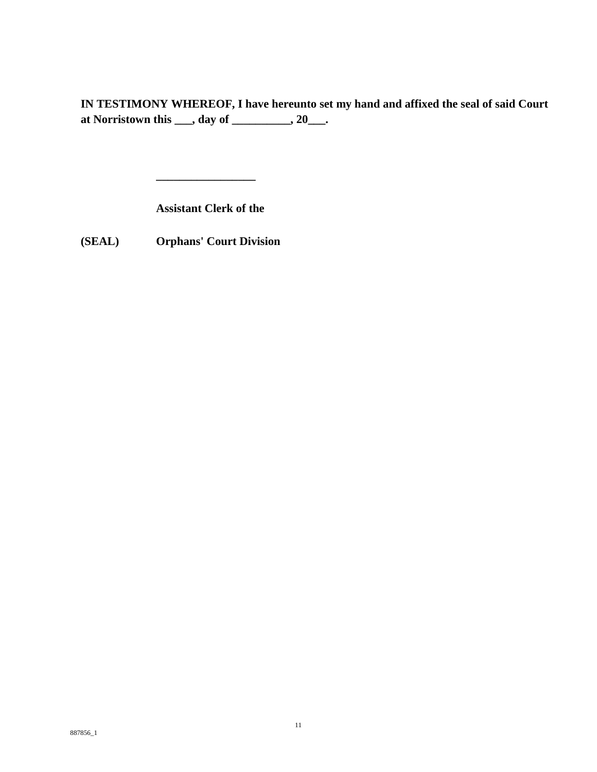**IN TESTIMONY WHEREOF, I have hereunto set my hand and affixed the seal of said Court at Norristown this \_\_\_, day of \_\_\_\_\_\_\_\_\_\_, 20\_\_\_.**

**Assistant Clerk of the**

**\_\_\_\_\_\_\_\_\_\_\_\_\_\_\_\_\_**

**(SEAL) Orphans' Court Division**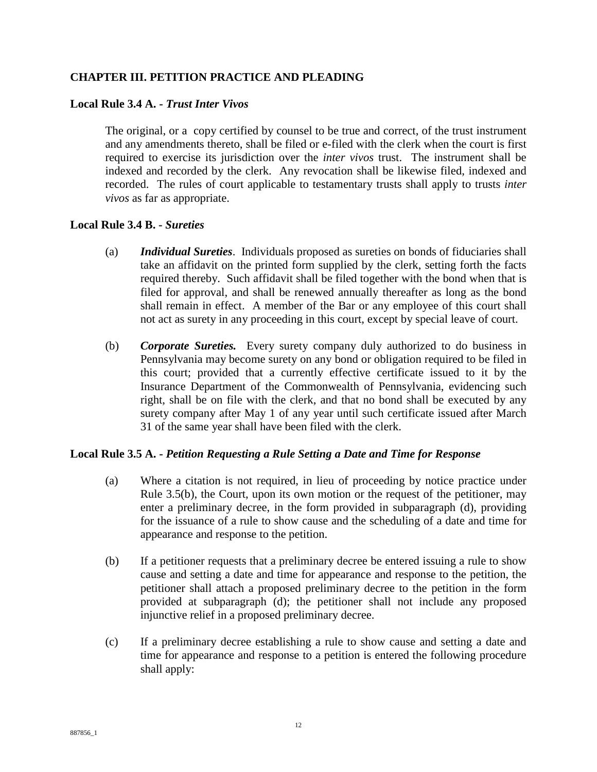# **CHAPTER III. PETITION PRACTICE AND PLEADING**

#### **Local Rule 3.4 A. -** *Trust Inter Vivos*

The original, or a copy certified by counsel to be true and correct, of the trust instrument and any amendments thereto, shall be filed or e-filed with the clerk when the court is first required to exercise its jurisdiction over the *inter vivos* trust. The instrument shall be indexed and recorded by the clerk. Any revocation shall be likewise filed, indexed and recorded. The rules of court applicable to testamentary trusts shall apply to trusts *inter vivos* as far as appropriate.

#### **Local Rule 3.4 B. -** *Sureties*

- (a) *Individual Sureties*. Individuals proposed as sureties on bonds of fiduciaries shall take an affidavit on the printed form supplied by the clerk, setting forth the facts required thereby. Such affidavit shall be filed together with the bond when that is filed for approval, and shall be renewed annually thereafter as long as the bond shall remain in effect. A member of the Bar or any employee of this court shall not act as surety in any proceeding in this court, except by special leave of court.
- (b) *Corporate Sureties.* Every surety company duly authorized to do business in Pennsylvania may become surety on any bond or obligation required to be filed in this court; provided that a currently effective certificate issued to it by the Insurance Department of the Commonwealth of Pennsylvania, evidencing such right, shall be on file with the clerk, and that no bond shall be executed by any surety company after May 1 of any year until such certificate issued after March 31 of the same year shall have been filed with the clerk.

### **Local Rule 3.5 A. -** *Petition Requesting a Rule Setting a Date and Time for Response*

- (a) Where a citation is not required, in lieu of proceeding by notice practice under Rule 3.5(b), the Court, upon its own motion or the request of the petitioner, may enter a preliminary decree, in the form provided in subparagraph (d), providing for the issuance of a rule to show cause and the scheduling of a date and time for appearance and response to the petition.
- (b) If a petitioner requests that a preliminary decree be entered issuing a rule to show cause and setting a date and time for appearance and response to the petition, the petitioner shall attach a proposed preliminary decree to the petition in the form provided at subparagraph (d); the petitioner shall not include any proposed injunctive relief in a proposed preliminary decree.
- (c) If a preliminary decree establishing a rule to show cause and setting a date and time for appearance and response to a petition is entered the following procedure shall apply: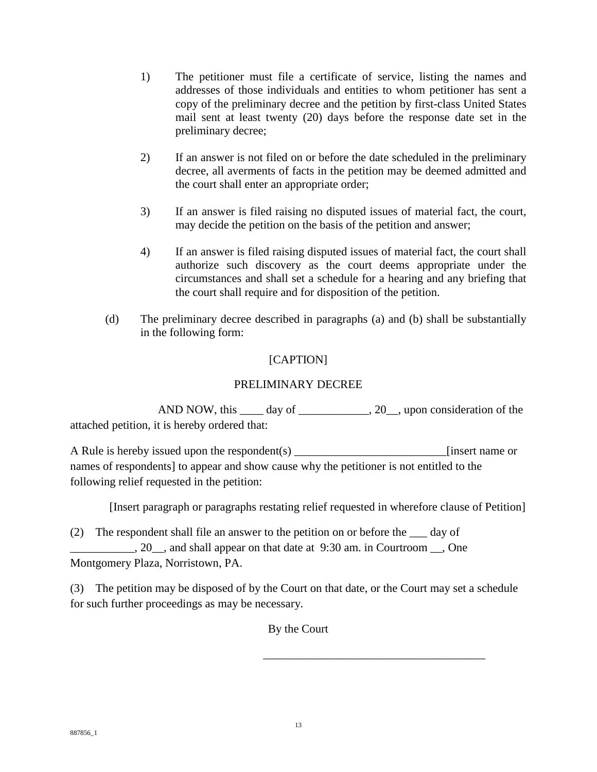- 1) The petitioner must file a certificate of service, listing the names and addresses of those individuals and entities to whom petitioner has sent a copy of the preliminary decree and the petition by first-class United States mail sent at least twenty (20) days before the response date set in the preliminary decree;
- 2) If an answer is not filed on or before the date scheduled in the preliminary decree, all averments of facts in the petition may be deemed admitted and the court shall enter an appropriate order;
- 3) If an answer is filed raising no disputed issues of material fact, the court, may decide the petition on the basis of the petition and answer;
- 4) If an answer is filed raising disputed issues of material fact, the court shall authorize such discovery as the court deems appropriate under the circumstances and shall set a schedule for a hearing and any briefing that the court shall require and for disposition of the petition.
- (d) The preliminary decree described in paragraphs (a) and (b) shall be substantially in the following form:

# [CAPTION]

# PRELIMINARY DECREE

AND NOW, this \_\_\_\_ day of \_\_\_\_\_\_\_\_\_\_\_, 20\_\_, upon consideration of the attached petition, it is hereby ordered that:

A Rule is hereby issued upon the respondent(s) [insert name or names of respondents] to appear and show cause why the petitioner is not entitled to the following relief requested in the petition:

[Insert paragraph or paragraphs restating relief requested in wherefore clause of Petition]

(2) The respondent shall file an answer to the petition on or before the \_\_\_ day of \_\_\_\_\_\_\_\_\_\_\_, 20\_\_, and shall appear on that date at 9:30 am. in Courtroom \_\_, One Montgomery Plaza, Norristown, PA.

(3) The petition may be disposed of by the Court on that date, or the Court may set a schedule for such further proceedings as may be necessary.

By the Court

 $\overline{\phantom{a}}$  , and the contract of the contract of the contract of the contract of the contract of the contract of the contract of the contract of the contract of the contract of the contract of the contract of the contrac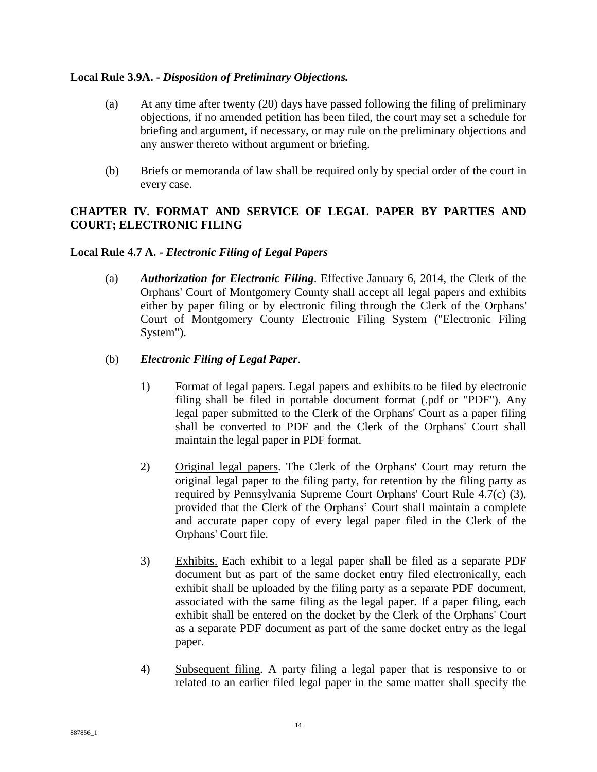## **Local Rule 3.9A. -** *Disposition of Preliminary Objections.*

- (a) At any time after twenty (20) days have passed following the filing of preliminary objections, if no amended petition has been filed, the court may set a schedule for briefing and argument, if necessary, or may rule on the preliminary objections and any answer thereto without argument or briefing.
- (b) Briefs or memoranda of law shall be required only by special order of the court in every case.

# **CHAPTER IV. FORMAT AND SERVICE OF LEGAL PAPER BY PARTIES AND COURT; ELECTRONIC FILING**

# **Local Rule 4.7 A. -** *Electronic Filing of Legal Papers*

(a) *Authorization for Electronic Filing*. Effective January 6, 2014, the Clerk of the Orphans' Court of Montgomery County shall accept all legal papers and exhibits either by paper filing or by electronic filing through the Clerk of the Orphans' Court of Montgomery County Electronic Filing System ("Electronic Filing System").

# (b) *Electronic Filing of Legal Paper*.

- 1) Format of legal papers. Legal papers and exhibits to be filed by electronic filing shall be filed in portable document format (.pdf or "PDF"). Any legal paper submitted to the Clerk of the Orphans' Court as a paper filing shall be converted to PDF and the Clerk of the Orphans' Court shall maintain the legal paper in PDF format.
- 2) Original legal papers. The Clerk of the Orphans' Court may return the original legal paper to the filing party, for retention by the filing party as required by Pennsylvania Supreme Court Orphans' Court Rule 4.7(c) (3), provided that the Clerk of the Orphans' Court shall maintain a complete and accurate paper copy of every legal paper filed in the Clerk of the Orphans' Court file.
- 3) Exhibits. Each exhibit to a legal paper shall be filed as a separate PDF document but as part of the same docket entry filed electronically, each exhibit shall be uploaded by the filing party as a separate PDF document, associated with the same filing as the legal paper. If a paper filing, each exhibit shall be entered on the docket by the Clerk of the Orphans' Court as a separate PDF document as part of the same docket entry as the legal paper.
- 4) Subsequent filing. A party filing a legal paper that is responsive to or related to an earlier filed legal paper in the same matter shall specify the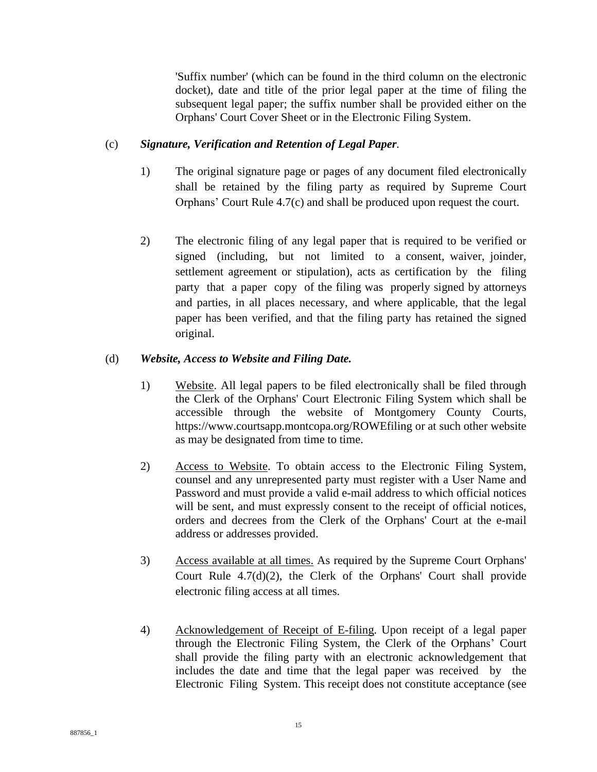'Suffix number' (which can be found in the third column on the electronic docket), date and title of the prior legal paper at the time of filing the subsequent legal paper; the suffix number shall be provided either on the Orphans' Court Cover Sheet or in the Electronic Filing System.

# (c) *Signature, Verification and Retention of Legal Paper.*

- 1) The original signature page or pages of any document filed electronically shall be retained by the filing party as required by Supreme Court Orphans' Court Rule 4.7(c) and shall be produced upon request the court.
- 2) The electronic filing of any legal paper that is required to be verified or signed (including, but not limited to a consent, waiver, joinder, settlement agreement or stipulation), acts as certification by the filing party that a paper copy of the filing was properly signed by attorneys and parties, in all places necessary, and where applicable, that the legal paper has been verified, and that the filing party has retained the signed original.

# (d) *Website, Access to Website and Filing Date.*

- 1) Website. All legal papers to be filed electronically shall be filed through the Clerk of the Orphans' Court Electronic Filing System which shall be accessible through the website of Montgomery County Courts, https://www.courtsapp.montcopa.org/ROWEfiling or at such other website as may be designated from time to time.
- 2) Access to Website. To obtain access to the Electronic Filing System, counsel and any unrepresented party must register with a User Name and Password and must provide a valid e-mail address to which official notices will be sent, and must expressly consent to the receipt of official notices, orders and decrees from the Clerk of the Orphans' Court at the e-mail address or addresses provided.
- 3) Access available at all times. As required by the Supreme Court Orphans' Court Rule 4.7(d)(2), the Clerk of the Orphans' Court shall provide electronic filing access at all times.
- 4) Acknowledgement of Receipt of E-filing. Upon receipt of a legal paper through the Electronic Filing System, the Clerk of the Orphans' Court shall provide the filing party with an electronic acknowledgement that includes the date and time that the legal paper was received by the Electronic Filing System. This receipt does not constitute acceptance (see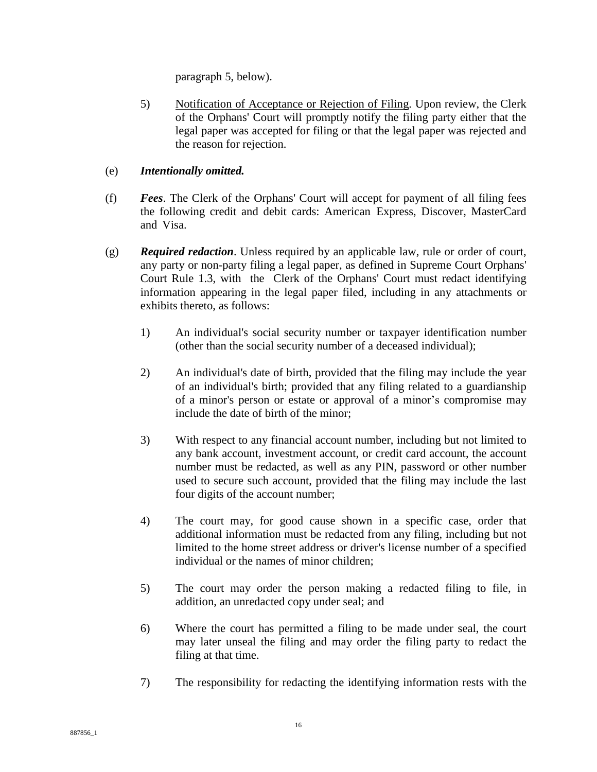paragraph 5, below).

5) Notification of Acceptance or Rejection of Filing. Upon review, the Clerk of the Orphans' Court will promptly notify the filing party either that the legal paper was accepted for filing or that the legal paper was rejected and the reason for rejection.

# (e) *Intentionally omitted.*

- (f) *Fees*. The Clerk of the Orphans' Court will accept for payment of all filing fees the following credit and debit cards: American Express, Discover, MasterCard and Visa.
- (g) *Required redaction*. Unless required by an applicable law, rule or order of court, any party or non-party filing a legal paper, as defined in Supreme Court Orphans' Court Rule 1.3, with the Clerk of the Orphans' Court must redact identifying information appearing in the legal paper filed, including in any attachments or exhibits thereto, as follows:
	- 1) An individual's social security number or taxpayer identification number (other than the social security number of a deceased individual);
	- 2) An individual's date of birth, provided that the filing may include the year of an individual's birth; provided that any filing related to a guardianship of a minor's person or estate or approval of a minor's compromise may include the date of birth of the minor;
	- 3) With respect to any financial account number, including but not limited to any bank account, investment account, or credit card account, the account number must be redacted, as well as any PIN, password or other number used to secure such account, provided that the filing may include the last four digits of the account number;
	- 4) The court may, for good cause shown in a specific case, order that additional information must be redacted from any filing, including but not limited to the home street address or driver's license number of a specified individual or the names of minor children;
	- 5) The court may order the person making a redacted filing to file, in addition, an unredacted copy under seal; and
	- 6) Where the court has permitted a filing to be made under seal, the court may later unseal the filing and may order the filing party to redact the filing at that time.
	- 7) The responsibility for redacting the identifying information rests with the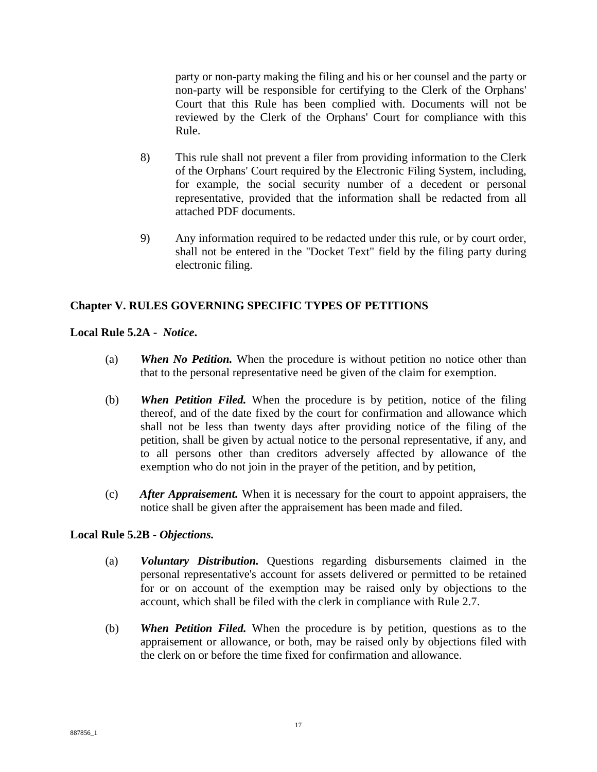party or non-party making the filing and his or her counsel and the party or non-party will be responsible for certifying to the Clerk of the Orphans' Court that this Rule has been complied with. Documents will not be reviewed by the Clerk of the Orphans' Court for compliance with this Rule.

- 8) This rule shall not prevent a filer from providing information to the Clerk of the Orphans' Court required by the Electronic Filing System, including, for example, the social security number of a decedent or personal representative, provided that the information shall be redacted from all attached PDF documents.
- 9) Any information required to be redacted under this rule, or by court order, shall not be entered in the ''Docket Text" field by the filing party during electronic filing.

# **Chapter V. RULES GOVERNING SPECIFIC TYPES OF PETITIONS**

**Local Rule 5.2A -** *Notice***.**

- (a) *When No Petition.* When the procedure is without petition no notice other than that to the personal representative need be given of the claim for exemption.
- (b) *When Petition Filed.* When the procedure is by petition, notice of the filing thereof, and of the date fixed by the court for confirmation and allowance which shall not be less than twenty days after providing notice of the filing of the petition, shall be given by actual notice to the personal representative, if any, and to all persons other than creditors adversely affected by allowance of the exemption who do not join in the prayer of the petition, and by petition,
- (c) *After Appraisement.* When it is necessary for the court to appoint appraisers, the notice shall be given after the appraisement has been made and filed.

# **Local Rule 5.2B -** *Objections.*

- (a) *Voluntary Distribution.* Questions regarding disbursements claimed in the personal representative's account for assets delivered or permitted to be retained for or on account of the exemption may be raised only by objections to the account, which shall be filed with the clerk in compliance with Rule 2.7.
- (b) *When Petition Filed.* When the procedure is by petition, questions as to the appraisement or allowance, or both, may be raised only by objections filed with the clerk on or before the time fixed for confirmation and allowance.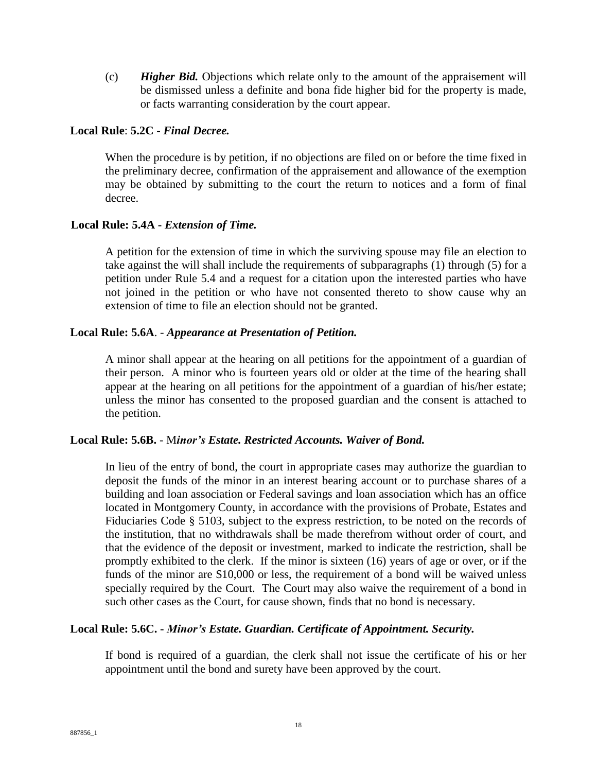(c) *Higher Bid.* Objections which relate only to the amount of the appraisement will be dismissed unless a definite and bona fide higher bid for the property is made, or facts warranting consideration by the court appear.

# **Local Rule**: **5.2C -** *Final Decree.*

When the procedure is by petition, if no objections are filed on or before the time fixed in the preliminary decree, confirmation of the appraisement and allowance of the exemption may be obtained by submitting to the court the return to notices and a form of final decree.

#### **Local Rule: 5.4A -** *Extension of Time.*

A petition for the extension of time in which the surviving spouse may file an election to take against the will shall include the requirements of subparagraphs (1) through (5) for a petition under Rule 5.4 and a request for a citation upon the interested parties who have not joined in the petition or who have not consented thereto to show cause why an extension of time to file an election should not be granted.

#### **Local Rule: 5.6A**. - *Appearance at Presentation of Petition.*

A minor shall appear at the hearing on all petitions for the appointment of a guardian of their person. A minor who is fourteen years old or older at the time of the hearing shall appear at the hearing on all petitions for the appointment of a guardian of his/her estate; unless the minor has consented to the proposed guardian and the consent is attached to the petition.

### **Local Rule: 5.6B.** - M*inor's Estate. Restricted Accounts. Waiver of Bond.*

In lieu of the entry of bond, the court in appropriate cases may authorize the guardian to deposit the funds of the minor in an interest bearing account or to purchase shares of a building and loan association or Federal savings and loan association which has an office located in Montgomery County, in accordance with the provisions of Probate, Estates and Fiduciaries Code § 5103, subject to the express restriction, to be noted on the records of the institution, that no withdrawals shall be made therefrom without order of court, and that the evidence of the deposit or investment, marked to indicate the restriction, shall be promptly exhibited to the clerk. If the minor is sixteen (16) years of age or over, or if the funds of the minor are \$10,000 or less, the requirement of a bond will be waived unless specially required by the Court. The Court may also waive the requirement of a bond in such other cases as the Court, for cause shown, finds that no bond is necessary.

#### **Local Rule: 5.6C. -** *Minor's Estate. Guardian. Certificate of Appointment. Security.*

If bond is required of a guardian, the clerk shall not issue the certificate of his or her appointment until the bond and surety have been approved by the court.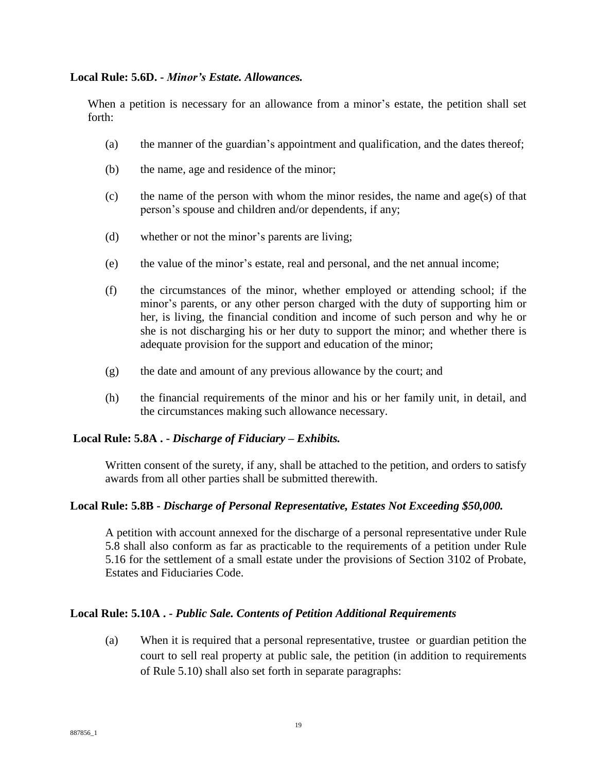#### **Local Rule: 5.6D. -** *Minor's Estate. Allowances.*

When a petition is necessary for an allowance from a minor's estate, the petition shall set forth:

- (a) the manner of the guardian's appointment and qualification, and the dates thereof;
- (b) the name, age and residence of the minor;
- (c) the name of the person with whom the minor resides, the name and age(s) of that person's spouse and children and/or dependents, if any;
- (d) whether or not the minor's parents are living;
- (e) the value of the minor's estate, real and personal, and the net annual income;
- (f) the circumstances of the minor, whether employed or attending school; if the minor's parents, or any other person charged with the duty of supporting him or her, is living, the financial condition and income of such person and why he or she is not discharging his or her duty to support the minor; and whether there is adequate provision for the support and education of the minor;
- (g) the date and amount of any previous allowance by the court; and
- (h) the financial requirements of the minor and his or her family unit, in detail, and the circumstances making such allowance necessary.

### **Local Rule: 5.8A . -** *Discharge of Fiduciary – Exhibits.*

Written consent of the surety, if any, shall be attached to the petition, and orders to satisfy awards from all other parties shall be submitted therewith.

### **Local Rule: 5.8B -** *Discharge of Personal Representative, Estates Not Exceeding \$50,000.*

A petition with account annexed for the discharge of a personal representative under Rule 5.8 shall also conform as far as practicable to the requirements of a petition under Rule 5.16 for the settlement of a small estate under the provisions of Section 3102 of Probate, Estates and Fiduciaries Code.

### **Local Rule: 5.10A . -** *Public Sale. Contents of Petition Additional Requirements*

(a) When it is required that a personal representative, trustee or guardian petition the court to sell real property at public sale, the petition (in addition to requirements of Rule 5.10) shall also set forth in separate paragraphs: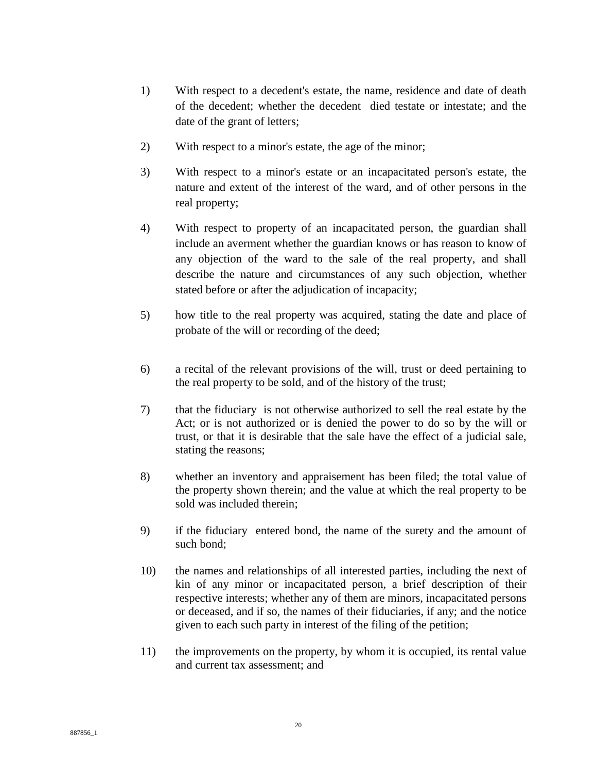- 1) With respect to a decedent's estate, the name, residence and date of death of the decedent; whether the decedent died testate or intestate; and the date of the grant of letters;
- 2) With respect to a minor's estate, the age of the minor;
- 3) With respect to a minor's estate or an incapacitated person's estate, the nature and extent of the interest of the ward, and of other persons in the real property;
- 4) With respect to property of an incapacitated person, the guardian shall include an averment whether the guardian knows or has reason to know of any objection of the ward to the sale of the real property, and shall describe the nature and circumstances of any such objection, whether stated before or after the adjudication of incapacity;
- 5) how title to the real property was acquired, stating the date and place of probate of the will or recording of the deed;
- 6) a recital of the relevant provisions of the will, trust or deed pertaining to the real property to be sold, and of the history of the trust;
- 7) that the fiduciary is not otherwise authorized to sell the real estate by the Act; or is not authorized or is denied the power to do so by the will or trust, or that it is desirable that the sale have the effect of a judicial sale, stating the reasons;
- 8) whether an inventory and appraisement has been filed; the total value of the property shown therein; and the value at which the real property to be sold was included therein;
- 9) if the fiduciary entered bond, the name of the surety and the amount of such bond;
- 10) the names and relationships of all interested parties, including the next of kin of any minor or incapacitated person, a brief description of their respective interests; whether any of them are minors, incapacitated persons or deceased, and if so, the names of their fiduciaries, if any; and the notice given to each such party in interest of the filing of the petition;
- 11) the improvements on the property, by whom it is occupied, its rental value and current tax assessment; and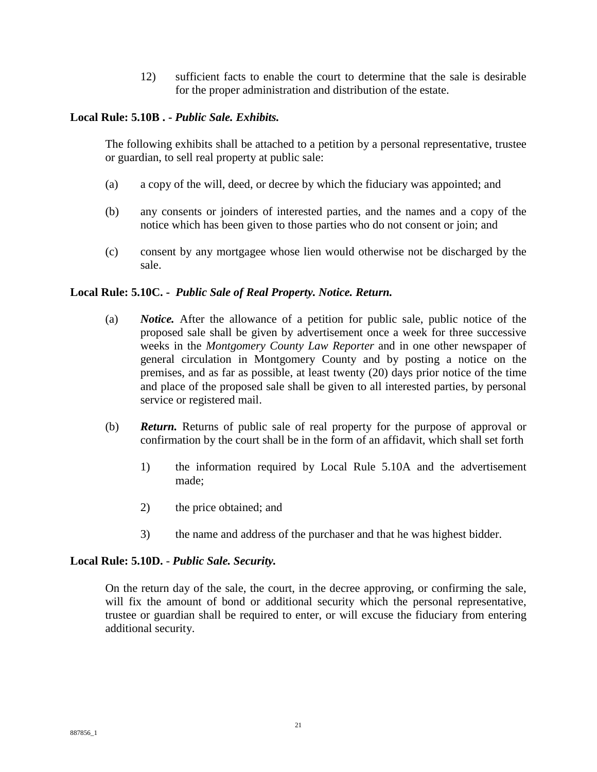12) sufficient facts to enable the court to determine that the sale is desirable for the proper administration and distribution of the estate.

# **Local Rule: 5.10B . -** *Public Sale. Exhibits.*

The following exhibits shall be attached to a petition by a personal representative, trustee or guardian, to sell real property at public sale:

- (a) a copy of the will, deed, or decree by which the fiduciary was appointed; and
- (b) any consents or joinders of interested parties, and the names and a copy of the notice which has been given to those parties who do not consent or join; and
- (c) consent by any mortgagee whose lien would otherwise not be discharged by the sale.

# **Local Rule: 5.10C. -** *Public Sale of Real Property. Notice. Return.*

- (a) *Notice.* After the allowance of a petition for public sale, public notice of the proposed sale shall be given by advertisement once a week for three successive weeks in the *Montgomery County Law Reporter* and in one other newspaper of general circulation in Montgomery County and by posting a notice on the premises, and as far as possible, at least twenty (20) days prior notice of the time and place of the proposed sale shall be given to all interested parties, by personal service or registered mail.
- (b) *Return.* Returns of public sale of real property for the purpose of approval or confirmation by the court shall be in the form of an affidavit, which shall set forth
	- 1) the information required by Local Rule 5.10A and the advertisement made;
	- 2) the price obtained; and
	- 3) the name and address of the purchaser and that he was highest bidder.

### **Local Rule: 5.10D.** - *Public Sale. Security.*

On the return day of the sale, the court, in the decree approving, or confirming the sale, will fix the amount of bond or additional security which the personal representative, trustee or guardian shall be required to enter, or will excuse the fiduciary from entering additional security.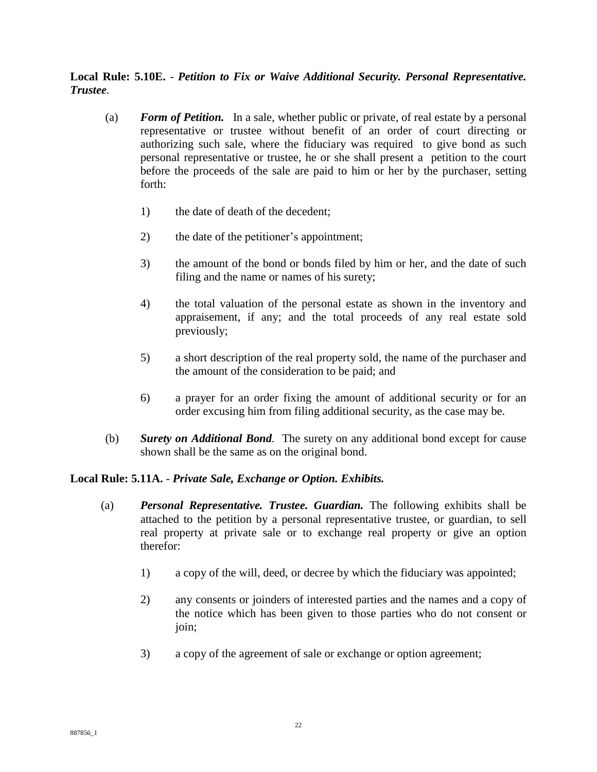# **Local Rule: 5.10E.** - *Petition to Fix or Waive Additional Security. Personal Representative. Trustee.*

- (a) *Form of Petition.* In a sale, whether public or private, of real estate by a personal representative or trustee without benefit of an order of court directing or authorizing such sale, where the fiduciary was required to give bond as such personal representative or trustee, he or she shall present a petition to the court before the proceeds of the sale are paid to him or her by the purchaser, setting forth:
	- 1) the date of death of the decedent;
	- 2) the date of the petitioner's appointment;
	- 3) the amount of the bond or bonds filed by him or her, and the date of such filing and the name or names of his surety;
	- 4) the total valuation of the personal estate as shown in the inventory and appraisement, if any; and the total proceeds of any real estate sold previously;
	- 5) a short description of the real property sold, the name of the purchaser and the amount of the consideration to be paid; and
	- 6) a prayer for an order fixing the amount of additional security or for an order excusing him from filing additional security, as the case may be.
- (b) *Surety on Additional Bond.* The surety on any additional bond except for cause shown shall be the same as on the original bond.

### **Local Rule: 5.11A.** - *Private Sale, Exchange or Option. Exhibits.*

- (a) *Personal Representative. Trustee. Guardian.* The following exhibits shall be attached to the petition by a personal representative trustee, or guardian, to sell real property at private sale or to exchange real property or give an option therefor:
	- 1) a copy of the will, deed, or decree by which the fiduciary was appointed;
	- 2) any consents or joinders of interested parties and the names and a copy of the notice which has been given to those parties who do not consent or join;
	- 3) a copy of the agreement of sale or exchange or option agreement;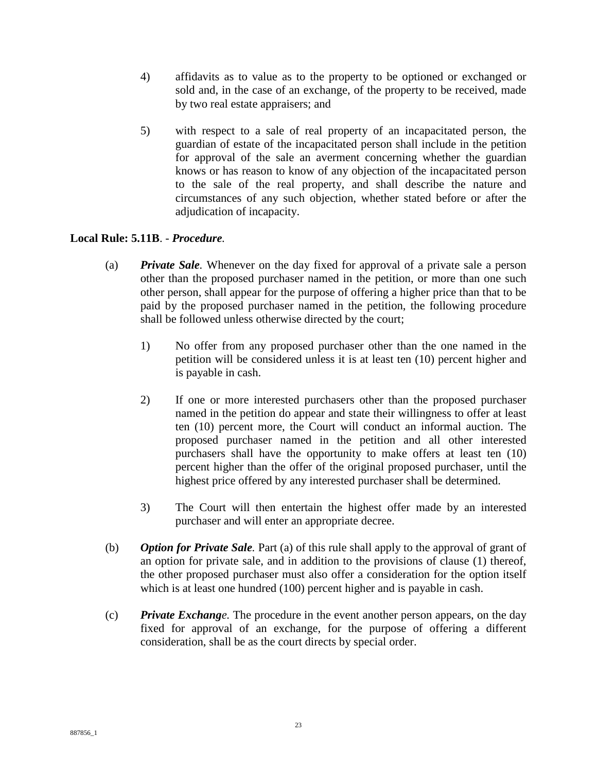- 4) affidavits as to value as to the property to be optioned or exchanged or sold and, in the case of an exchange, of the property to be received, made by two real estate appraisers; and
- 5) with respect to a sale of real property of an incapacitated person, the guardian of estate of the incapacitated person shall include in the petition for approval of the sale an averment concerning whether the guardian knows or has reason to know of any objection of the incapacitated person to the sale of the real property, and shall describe the nature and circumstances of any such objection, whether stated before or after the adjudication of incapacity.

# **Local Rule: 5.11B**. - *Procedure.*

- (a) *Private Sale.* Whenever on the day fixed for approval of a private sale a person other than the proposed purchaser named in the petition, or more than one such other person, shall appear for the purpose of offering a higher price than that to be paid by the proposed purchaser named in the petition, the following procedure shall be followed unless otherwise directed by the court;
	- 1) No offer from any proposed purchaser other than the one named in the petition will be considered unless it is at least ten (10) percent higher and is payable in cash.
	- 2) If one or more interested purchasers other than the proposed purchaser named in the petition do appear and state their willingness to offer at least ten (10) percent more, the Court will conduct an informal auction. The proposed purchaser named in the petition and all other interested purchasers shall have the opportunity to make offers at least ten (10) percent higher than the offer of the original proposed purchaser, until the highest price offered by any interested purchaser shall be determined.
	- 3) The Court will then entertain the highest offer made by an interested purchaser and will enter an appropriate decree.
- (b) *Option for Private Sale.* Part (a) of this rule shall apply to the approval of grant of an option for private sale, and in addition to the provisions of clause (1) thereof, the other proposed purchaser must also offer a consideration for the option itself which is at least one hundred (100) percent higher and is payable in cash.
- (c) *Private Exchange.* The procedure in the event another person appears, on the day fixed for approval of an exchange, for the purpose of offering a different consideration, shall be as the court directs by special order.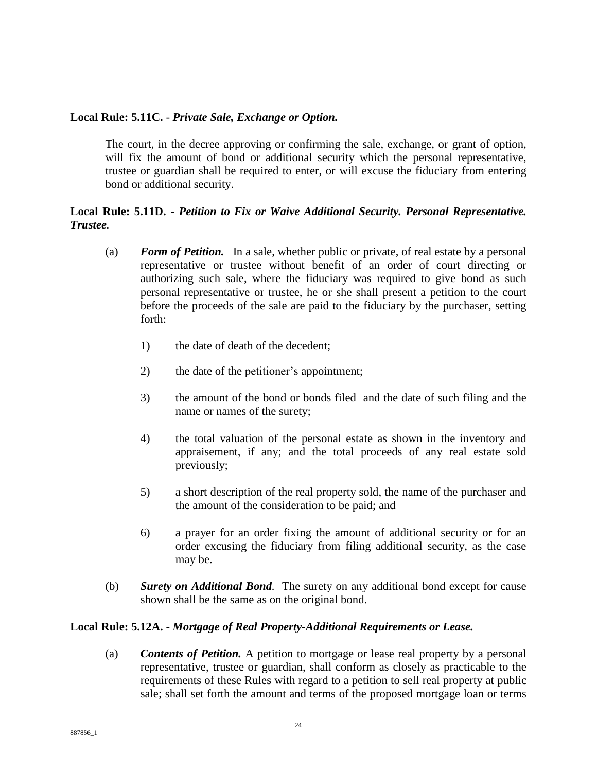## **Local Rule: 5.11C.** - *Private Sale, Exchange or Option.*

The court, in the decree approving or confirming the sale, exchange, or grant of option, will fix the amount of bond or additional security which the personal representative, trustee or guardian shall be required to enter, or will excuse the fiduciary from entering bond or additional security.

# **Local Rule: 5.11D. -** *Petition to Fix or Waive Additional Security. Personal Representative. Trustee.*

- (a) *Form of Petition.* In a sale, whether public or private, of real estate by a personal representative or trustee without benefit of an order of court directing or authorizing such sale, where the fiduciary was required to give bond as such personal representative or trustee, he or she shall present a petition to the court before the proceeds of the sale are paid to the fiduciary by the purchaser, setting forth:
	- 1) the date of death of the decedent;
	- 2) the date of the petitioner's appointment;
	- 3) the amount of the bond or bonds filed and the date of such filing and the name or names of the surety;
	- 4) the total valuation of the personal estate as shown in the inventory and appraisement, if any; and the total proceeds of any real estate sold previously;
	- 5) a short description of the real property sold, the name of the purchaser and the amount of the consideration to be paid; and
	- 6) a prayer for an order fixing the amount of additional security or for an order excusing the fiduciary from filing additional security, as the case may be.
- (b) *Surety on Additional Bond.* The surety on any additional bond except for cause shown shall be the same as on the original bond.

# **Local Rule: 5.12A. -** *Mortgage of Real Property-Additional Requirements or Lease.*

(a) *Contents of Petition.* A petition to mortgage or lease real property by a personal representative, trustee or guardian, shall conform as closely as practicable to the requirements of these Rules with regard to a petition to sell real property at public sale; shall set forth the amount and terms of the proposed mortgage loan or terms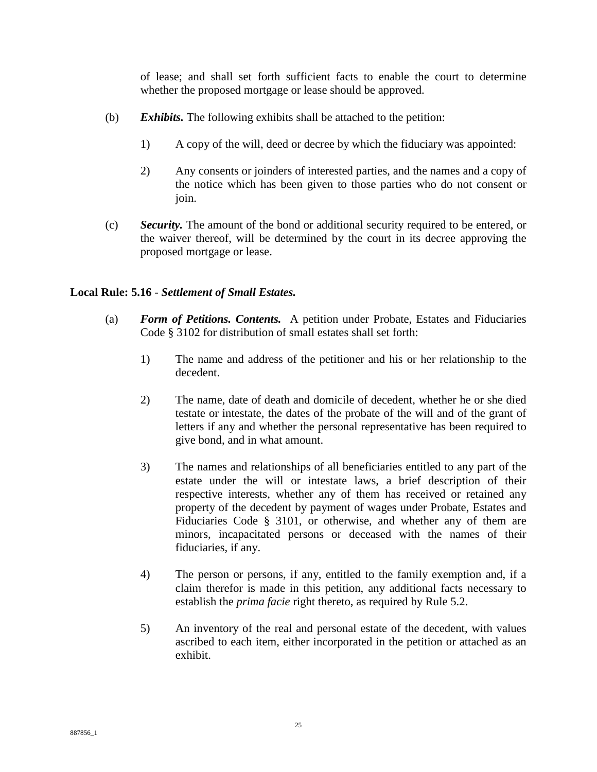of lease; and shall set forth sufficient facts to enable the court to determine whether the proposed mortgage or lease should be approved.

- (b) *Exhibits.* The following exhibits shall be attached to the petition:
	- 1) A copy of the will, deed or decree by which the fiduciary was appointed:
	- 2) Any consents or joinders of interested parties, and the names and a copy of the notice which has been given to those parties who do not consent or join.
- (c) *Security.* The amount of the bond or additional security required to be entered, or the waiver thereof, will be determined by the court in its decree approving the proposed mortgage or lease.

# **Local Rule: 5.16** - *Settlement of Small Estates.*

- (a) *Form of Petitions. Contents.* A petition under Probate, Estates and Fiduciaries Code § 3102 for distribution of small estates shall set forth:
	- 1) The name and address of the petitioner and his or her relationship to the decedent.
	- 2) The name, date of death and domicile of decedent, whether he or she died testate or intestate, the dates of the probate of the will and of the grant of letters if any and whether the personal representative has been required to give bond, and in what amount.
	- 3) The names and relationships of all beneficiaries entitled to any part of the estate under the will or intestate laws, a brief description of their respective interests, whether any of them has received or retained any property of the decedent by payment of wages under Probate, Estates and Fiduciaries Code § 3101, or otherwise, and whether any of them are minors, incapacitated persons or deceased with the names of their fiduciaries, if any.
	- 4) The person or persons, if any, entitled to the family exemption and, if a claim therefor is made in this petition, any additional facts necessary to establish the *prima facie* right thereto, as required by Rule 5.2.
	- 5) An inventory of the real and personal estate of the decedent, with values ascribed to each item, either incorporated in the petition or attached as an exhibit.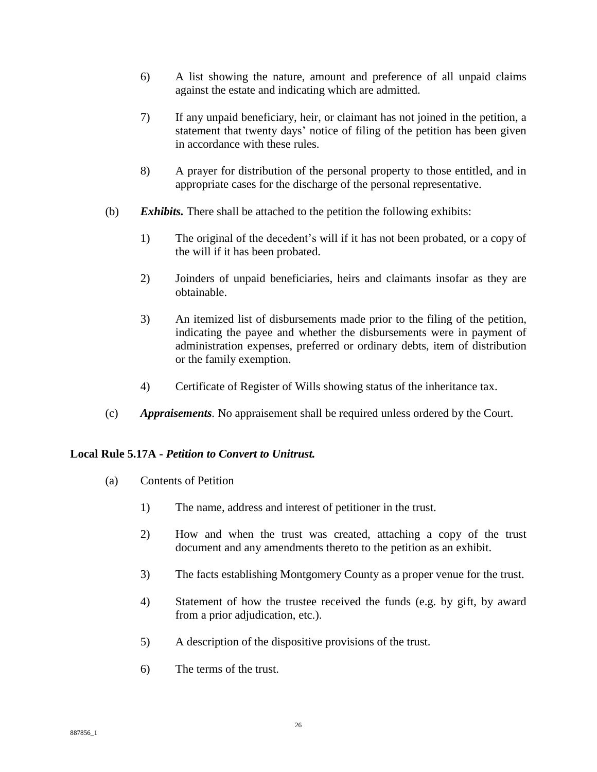- 6) A list showing the nature, amount and preference of all unpaid claims against the estate and indicating which are admitted.
- 7) If any unpaid beneficiary, heir, or claimant has not joined in the petition, a statement that twenty days' notice of filing of the petition has been given in accordance with these rules.
- 8) A prayer for distribution of the personal property to those entitled, and in appropriate cases for the discharge of the personal representative.
- (b) *Exhibits.* There shall be attached to the petition the following exhibits:
	- 1) The original of the decedent's will if it has not been probated, or a copy of the will if it has been probated.
	- 2) Joinders of unpaid beneficiaries, heirs and claimants insofar as they are obtainable.
	- 3) An itemized list of disbursements made prior to the filing of the petition, indicating the payee and whether the disbursements were in payment of administration expenses, preferred or ordinary debts, item of distribution or the family exemption.
	- 4) Certificate of Register of Wills showing status of the inheritance tax.
- (c) *Appraisements.* No appraisement shall be required unless ordered by the Court.

### **Local Rule 5.17A -** *Petition to Convert to Unitrust.*

- (a) Contents of Petition
	- 1) The name, address and interest of petitioner in the trust.
	- 2) How and when the trust was created, attaching a copy of the trust document and any amendments thereto to the petition as an exhibit.
	- 3) The facts establishing Montgomery County as a proper venue for the trust.
	- 4) Statement of how the trustee received the funds (e.g. by gift, by award from a prior adjudication, etc.).
	- 5) A description of the dispositive provisions of the trust.
	- 6) The terms of the trust.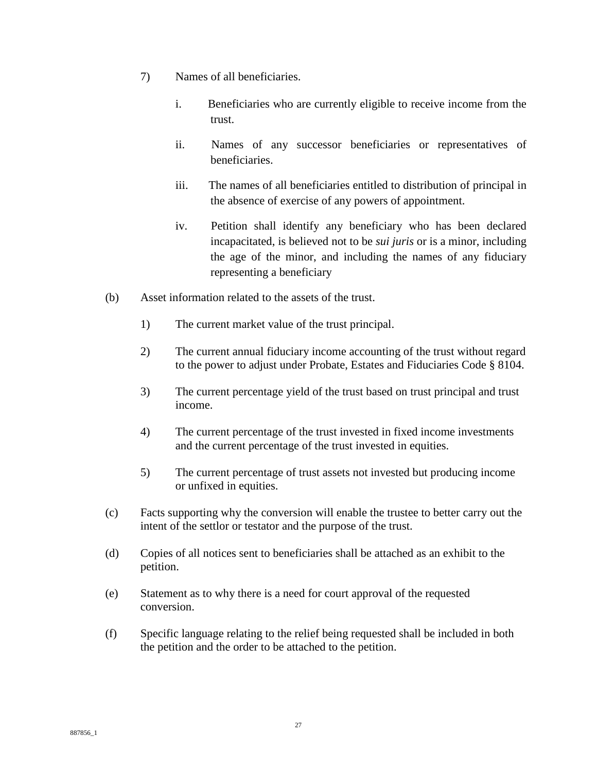- 7) Names of all beneficiaries.
	- i. Beneficiaries who are currently eligible to receive income from the trust.
	- ii. Names of any successor beneficiaries or representatives of beneficiaries.
	- iii. The names of all beneficiaries entitled to distribution of principal in the absence of exercise of any powers of appointment.
	- iv. Petition shall identify any beneficiary who has been declared incapacitated, is believed not to be *sui juris* or is a minor, including the age of the minor, and including the names of any fiduciary representing a beneficiary
- (b) Asset information related to the assets of the trust.
	- 1) The current market value of the trust principal.
	- 2) The current annual fiduciary income accounting of the trust without regard to the power to adjust under Probate, Estates and Fiduciaries Code § 8104.
	- 3) The current percentage yield of the trust based on trust principal and trust income.
	- 4) The current percentage of the trust invested in fixed income investments and the current percentage of the trust invested in equities.
	- 5) The current percentage of trust assets not invested but producing income or unfixed in equities.
- (c) Facts supporting why the conversion will enable the trustee to better carry out the intent of the settlor or testator and the purpose of the trust.
- (d) Copies of all notices sent to beneficiaries shall be attached as an exhibit to the petition.
- (e) Statement as to why there is a need for court approval of the requested conversion.
- (f) Specific language relating to the relief being requested shall be included in both the petition and the order to be attached to the petition.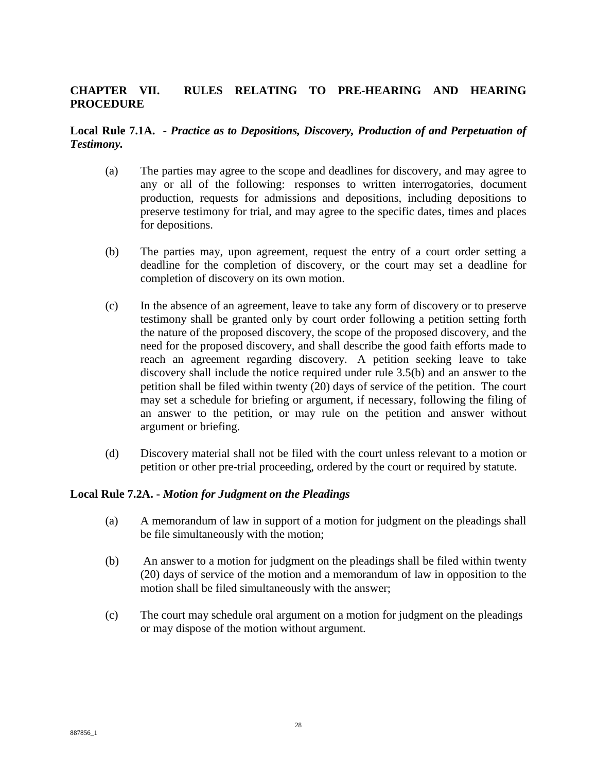# **CHAPTER VII. RULES RELATING TO PRE-HEARING AND HEARING PROCEDURE**

# **Local Rule 7.1A. -** *Practice as to Depositions, Discovery, Production of and Perpetuation of Testimony.*

- (a) The parties may agree to the scope and deadlines for discovery, and may agree to any or all of the following: responses to written interrogatories, document production, requests for admissions and depositions, including depositions to preserve testimony for trial, and may agree to the specific dates, times and places for depositions.
- (b) The parties may, upon agreement, request the entry of a court order setting a deadline for the completion of discovery, or the court may set a deadline for completion of discovery on its own motion.
- (c) In the absence of an agreement, leave to take any form of discovery or to preserve testimony shall be granted only by court order following a petition setting forth the nature of the proposed discovery, the scope of the proposed discovery, and the need for the proposed discovery, and shall describe the good faith efforts made to reach an agreement regarding discovery. A petition seeking leave to take discovery shall include the notice required under rule 3.5(b) and an answer to the petition shall be filed within twenty (20) days of service of the petition. The court may set a schedule for briefing or argument, if necessary, following the filing of an answer to the petition, or may rule on the petition and answer without argument or briefing.
- (d) Discovery material shall not be filed with the court unless relevant to a motion or petition or other pre-trial proceeding, ordered by the court or required by statute.

### **Local Rule 7.2A. -** *Motion for Judgment on the Pleadings*

- (a) A memorandum of law in support of a motion for judgment on the pleadings shall be file simultaneously with the motion;
- (b) An answer to a motion for judgment on the pleadings shall be filed within twenty (20) days of service of the motion and a memorandum of law in opposition to the motion shall be filed simultaneously with the answer;
- (c) The court may schedule oral argument on a motion for judgment on the pleadings or may dispose of the motion without argument.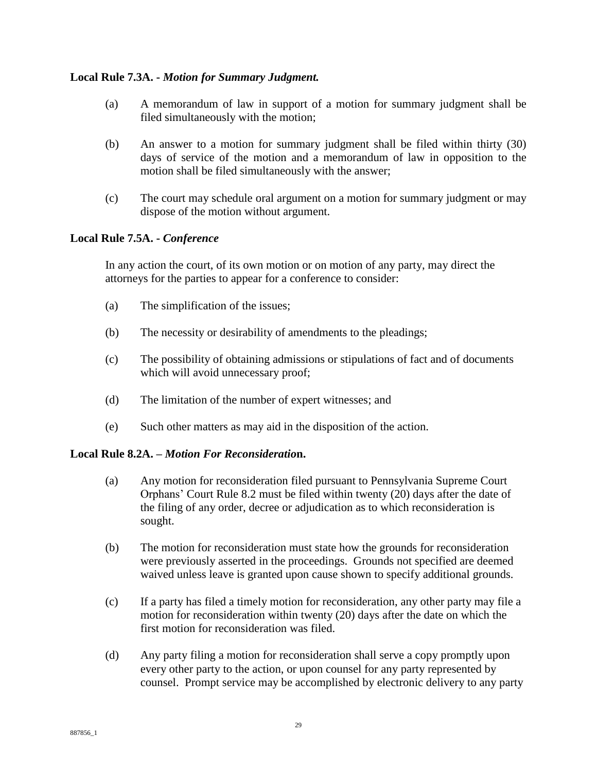## **Local Rule 7.3A. -** *Motion for Summary Judgment.*

- (a) A memorandum of law in support of a motion for summary judgment shall be filed simultaneously with the motion;
- (b) An answer to a motion for summary judgment shall be filed within thirty (30) days of service of the motion and a memorandum of law in opposition to the motion shall be filed simultaneously with the answer;
- (c) The court may schedule oral argument on a motion for summary judgment or may dispose of the motion without argument.

# **Local Rule 7.5A. -** *Conference*

In any action the court, of its own motion or on motion of any party, may direct the attorneys for the parties to appear for a conference to consider:

- (a) The simplification of the issues;
- (b) The necessity or desirability of amendments to the pleadings;
- (c) The possibility of obtaining admissions or stipulations of fact and of documents which will avoid unnecessary proof;
- (d) The limitation of the number of expert witnesses; and
- (e) Such other matters as may aid in the disposition of the action.

### **Local Rule 8.2A. –** *Motion For Reconsideratio***n.**

- (a) Any motion for reconsideration filed pursuant to Pennsylvania Supreme Court Orphans' Court Rule 8.2 must be filed within twenty (20) days after the date of the filing of any order, decree or adjudication as to which reconsideration is sought.
- (b) The motion for reconsideration must state how the grounds for reconsideration were previously asserted in the proceedings. Grounds not specified are deemed waived unless leave is granted upon cause shown to specify additional grounds.
- (c) If a party has filed a timely motion for reconsideration, any other party may file a motion for reconsideration within twenty (20) days after the date on which the first motion for reconsideration was filed.
- (d) Any party filing a motion for reconsideration shall serve a copy promptly upon every other party to the action, or upon counsel for any party represented by counsel. Prompt service may be accomplished by electronic delivery to any party